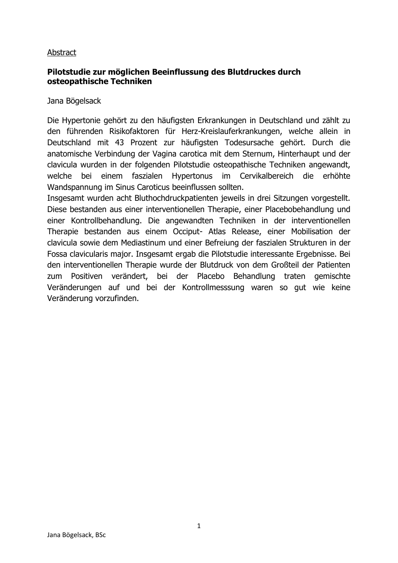### Abstract

## **Pilotstudie zur möglichen Beeinflussung des Blutdruckes durch osteopathische Techniken**

Jana Bögelsack

Die Hypertonie gehört zu den häufigsten Erkrankungen in Deutschland und zählt zu den führenden Risikofaktoren für Herz-Kreislauferkrankungen, welche allein in Deutschland mit 43 Prozent zur häufigsten Todesursache gehört. Durch die anatomische Verbindung der Vagina carotica mit dem Sternum, Hinterhaupt und der clavicula wurden in der folgenden Pilotstudie osteopathische Techniken angewandt, welche bei einem faszialen Hypertonus im Cervikalbereich die erhöhte Wandspannung im Sinus Caroticus beeinflussen sollten.

Insgesamt wurden acht Bluthochdruckpatienten jeweils in drei Sitzungen vorgestellt. Diese bestanden aus einer interventionellen Therapie, einer Placebobehandlung und einer Kontrollbehandlung. Die angewandten Techniken in der interventionellen Therapie bestanden aus einem Occiput- Atlas Release, einer Mobilisation der clavicula sowie dem Mediastinum und einer Befreiung der faszialen Strukturen in der Fossa clavicularis major. Insgesamt ergab die Pilotstudie interessante Ergebnisse. Bei den interventionellen Therapie wurde der Blutdruck von dem Großteil der Patienten zum Positiven verändert, bei der Placebo Behandlung traten gemischte Veränderungen auf und bei der Kontrollmesssung waren so gut wie keine Veränderung vorzufinden.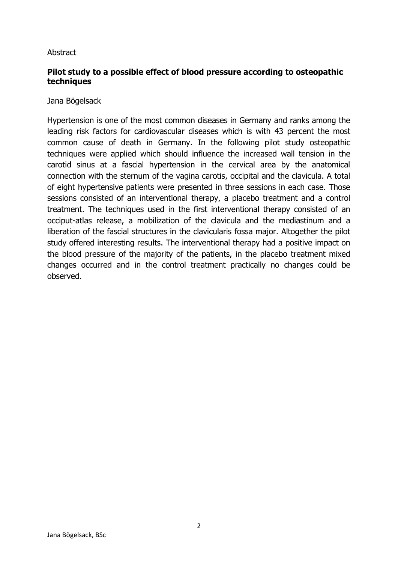### Abstract

## **Pilot study to a possible effect of blood pressure according to osteopathic techniques**

### Jana Bögelsack

Hypertension is one of the most common diseases in Germany and ranks among the leading risk factors for cardiovascular diseases which is with 43 percent the most common cause of death in Germany. In the following pilot study osteopathic techniques were applied which should influence the increased wall tension in the carotid sinus at a fascial hypertension in the cervical area by the anatomical connection with the sternum of the vagina carotis, occipital and the clavicula. A total of eight hypertensive patients were presented in three sessions in each case. Those sessions consisted of an interventional therapy, a placebo treatment and a control treatment. The techniques used in the first interventional therapy consisted of an occiput-atlas release, a mobilization of the clavicula and the mediastinum and a liberation of the fascial structures in the clavicularis fossa major. Altogether the pilot study offered interesting results. The interventional therapy had a positive impact on the blood pressure of the majority of the patients, in the placebo treatment mixed changes occurred and in the control treatment practically no changes could be observed.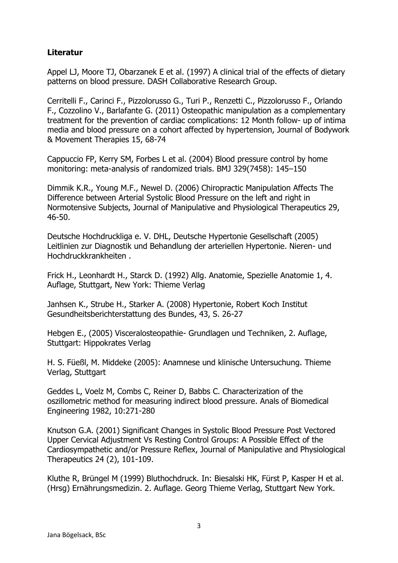# **Literatur**

Appel LJ, Moore TJ, Obarzanek E et al. (1997) A clinical trial of the effects of dietary patterns on blood pressure. DASH Collaborative Research Group.

Cerritelli F., Carinci F., Pizzolorusso G., Turi P., Renzetti C., Pizzolorusso F., Orlando F., Cozzolino V., Barlafante G. (2011) Osteopathic manipulation as a complementary treatment for the prevention of cardiac complications: 12 Month follow- up of intima media and blood pressure on a cohort affected by hypertension, Journal of Bodywork & Movement Therapies 15, 68-74

Cappuccio FP, Kerry SM, Forbes L et al. (2004) Blood pressure control by home monitoring: meta-analysis of randomized trials. BMJ 329(7458): 145–150

Dimmik K.R., Young M.F., Newel D. (2006) Chiropractic Manipulation Affects The Difference between Arterial Systolic Blood Pressure on the left and right in Normotensive Subjects, Journal of Manipulative and Physiological Therapeutics 29, 46-50.

Deutsche Hochdruckliga e. V. DHL, Deutsche Hypertonie Gesellschaft (2005) Leitlinien zur Diagnostik und Behandlung der arteriellen Hypertonie. Nieren- und Hochdruckkrankheiten .

Frick H., Leonhardt H., Starck D. (1992) Allg. Anatomie, Spezielle Anatomie 1, 4. Auflage, Stuttgart, New York: Thieme Verlag

Janhsen K., Strube H., Starker A. (2008) Hypertonie, Robert Koch Institut Gesundheitsberichterstattung des Bundes, 43, S. 26-27

Hebgen E., (2005) Visceralosteopathie- Grundlagen und Techniken, 2. Auflage, Stuttgart: Hippokrates Verlag

H. S. Füeßl, M. Middeke (2005): Anamnese und klinische Untersuchung. Thieme Verlag, Stuttgart

Geddes L, Voelz M, Combs C, Reiner D, Babbs C. Characterization of the oszillometric method for measuring indirect blood pressure. Anals of Biomedical Engineering 1982, 10:271-280

Knutson G.A. (2001) Significant Changes in Systolic Blood Pressure Post Vectored Upper Cervical Adjustment Vs Resting Control Groups: A Possible Effect of the Cardiosympathetic and/or Pressure Reflex, Journal of Manipulative and Physiological Therapeutics 24 (2), 101-109.

Kluthe R, Brüngel M (1999) Bluthochdruck. In: Biesalski HK, Fürst P, Kasper H et al. (Hrsg) Ernährungsmedizin. 2. Auflage. Georg Thieme Verlag, Stuttgart New York.